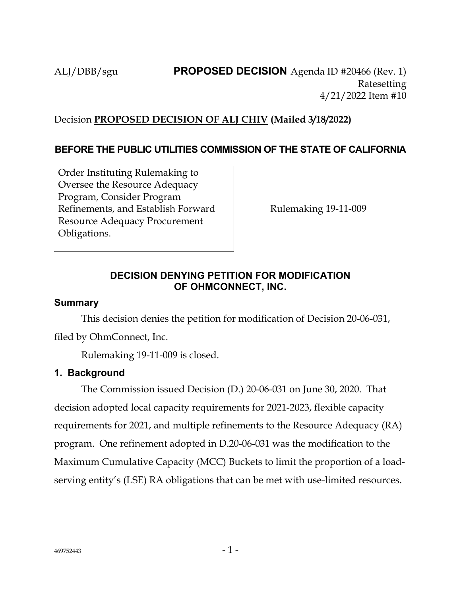## Decision **PROPOSED DECISION OF ALJ CHIV (Mailed 3/18/2022)**

## **BEFORE THE PUBLIC UTILITIES COMMISSION OF THE STATE OF CALIFORNIA**

Order Instituting Rulemaking to Oversee the Resource Adequacy Program, Consider Program Refinements, and Establish Forward Resource Adequacy Procurement Obligations.

Rulemaking 19-11-009

## **DECISION DENYING PETITION FOR MODIFICATION OF OHMCONNECT, INC.**

#### **Summary**

This decision denies the petition for modification of Decision 20-06-031,

filed by OhmConnect, Inc.

Rulemaking 19-11-009 is closed.

### **1. Background**

The Commission issued Decision (D.) 20-06-031 on June 30, 2020. That decision adopted local capacity requirements for 2021-2023, flexible capacity requirements for 2021, and multiple refinements to the Resource Adequacy (RA) program. One refinement adopted in D.20-06-031 was the modification to the Maximum Cumulative Capacity (MCC) Buckets to limit the proportion of a loadserving entity's (LSE) RA obligations that can be met with use-limited resources.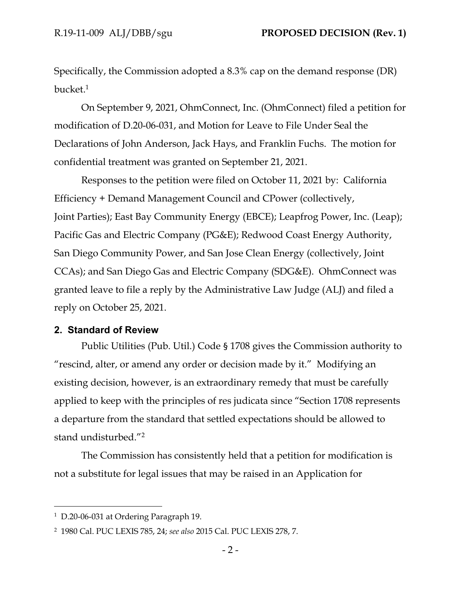Specifically, the Commission adopted a 8.3% cap on the demand response (DR) bucket.<sup>1</sup>

On September 9, 2021, OhmConnect, Inc. (OhmConnect) filed a petition for modification of D.20-06-031, and Motion for Leave to File Under Seal the Declarations of John Anderson, Jack Hays, and Franklin Fuchs. The motion for confidential treatment was granted on September 21, 2021.

Responses to the petition were filed on October 11, 2021 by: California Efficiency + Demand Management Council and CPower (collectively, Joint Parties); East Bay Community Energy (EBCE); Leapfrog Power, Inc. (Leap); Pacific Gas and Electric Company (PG&E); Redwood Coast Energy Authority, San Diego Community Power, and San Jose Clean Energy (collectively, Joint CCAs); and San Diego Gas and Electric Company (SDG&E). OhmConnect was granted leave to file a reply by the Administrative Law Judge (ALJ) and filed a reply on October 25, 2021.

#### **2. Standard of Review**

Public Utilities (Pub. Util.) Code § 1708 gives the Commission authority to "rescind, alter, or amend any order or decision made by it." Modifying an existing decision, however, is an extraordinary remedy that must be carefully applied to keep with the principles of res judicata since "Section 1708 represents a departure from the standard that settled expectations should be allowed to stand undisturbed."<sup>2</sup>

The Commission has consistently held that a petition for modification is not a substitute for legal issues that may be raised in an Application for

<sup>1</sup> D.20-06-031 at Ordering Paragraph 19.

<sup>2</sup> 1980 Cal. PUC LEXIS 785, 24; *see also* 2015 Cal. PUC LEXIS 278, 7.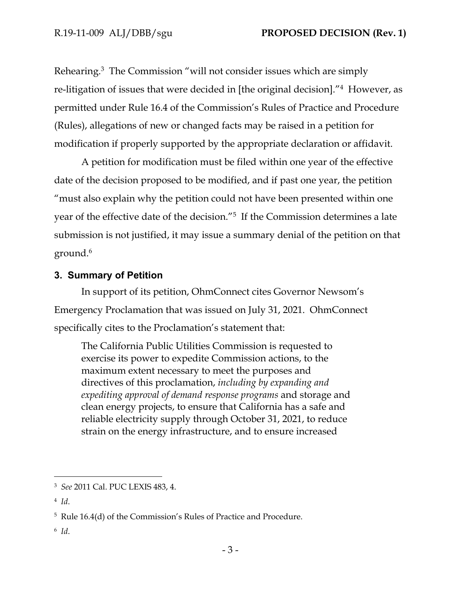Rehearing.<sup>3</sup> The Commission "will not consider issues which are simply re-litigation of issues that were decided in [the original decision]."<sup>4</sup> However, as permitted under Rule 16.4 of the Commission's Rules of Practice and Procedure (Rules), allegations of new or changed facts may be raised in a petition for modification if properly supported by the appropriate declaration or affidavit.

A petition for modification must be filed within one year of the effective date of the decision proposed to be modified, and if past one year, the petition "must also explain why the petition could not have been presented within one year of the effective date of the decision."<sup>5</sup> If the Commission determines a late submission is not justified, it may issue a summary denial of the petition on that ground.<sup>6</sup>

## **3. Summary of Petition**

In support of its petition, OhmConnect cites Governor Newsom's Emergency Proclamation that was issued on July 31, 2021. OhmConnect specifically cites to the Proclamation's statement that:

The California Public Utilities Commission is requested to exercise its power to expedite Commission actions, to the maximum extent necessary to meet the purposes and directives of this proclamation, *including by expanding and expediting approval of demand response programs* and storage and clean energy projects, to ensure that California has a safe and reliable electricity supply through October 31, 2021, to reduce strain on the energy infrastructure, and to ensure increased

6 *Id*.

<sup>3</sup> *See* 2011 Cal. PUC LEXIS 483, 4.

<sup>4</sup> *Id*.

<sup>5</sup> Rule 16.4(d) of the Commission's Rules of Practice and Procedure.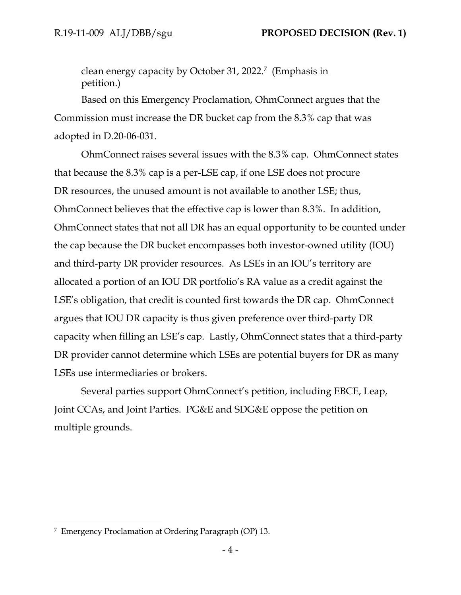clean energy capacity by October 31, 2022.<sup>7</sup> (Emphasis in petition.)

Based on this Emergency Proclamation, OhmConnect argues that the Commission must increase the DR bucket cap from the 8.3% cap that was adopted in D.20-06-031.

OhmConnect raises several issues with the 8.3% cap. OhmConnect states that because the 8.3% cap is a per-LSE cap, if one LSE does not procure DR resources, the unused amount is not available to another LSE; thus, OhmConnect believes that the effective cap is lower than 8.3%. In addition, OhmConnect states that not all DR has an equal opportunity to be counted under the cap because the DR bucket encompasses both investor-owned utility (IOU) and third-party DR provider resources. As LSEs in an IOU's territory are allocated a portion of an IOU DR portfolio's RA value as a credit against the LSE's obligation, that credit is counted first towards the DR cap. OhmConnect argues that IOU DR capacity is thus given preference over third-party DR capacity when filling an LSE's cap. Lastly, OhmConnect states that a third-party DR provider cannot determine which LSEs are potential buyers for DR as many LSEs use intermediaries or brokers.

Several parties support OhmConnect's petition, including EBCE, Leap, Joint CCAs, and Joint Parties. PG&E and SDG&E oppose the petition on multiple grounds.

<sup>7</sup> Emergency Proclamation at Ordering Paragraph (OP) 13.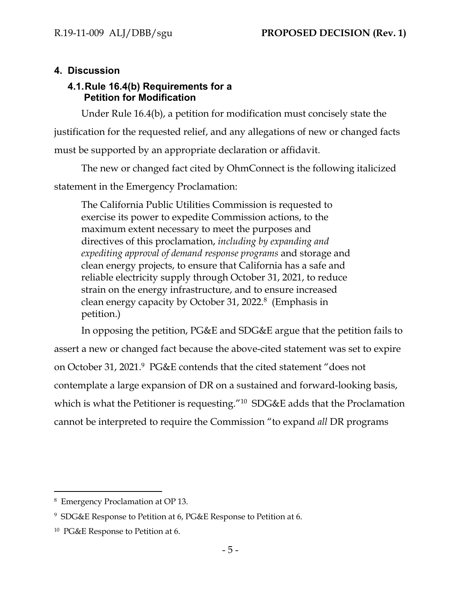# **4. Discussion**

## **4.1.Rule 16.4(b) Requirements for a Petition for Modification**

Under Rule 16.4(b), a petition for modification must concisely state the justification for the requested relief, and any allegations of new or changed facts must be supported by an appropriate declaration or affidavit.

The new or changed fact cited by OhmConnect is the following italicized statement in the Emergency Proclamation:

The California Public Utilities Commission is requested to exercise its power to expedite Commission actions, to the maximum extent necessary to meet the purposes and directives of this proclamation, *including by expanding and expediting approval of demand response programs* and storage and clean energy projects, to ensure that California has a safe and reliable electricity supply through October 31, 2021, to reduce strain on the energy infrastructure, and to ensure increased clean energy capacity by October 31, 2022.<sup>8</sup> (Emphasis in petition.)

In opposing the petition, PG&E and SDG&E argue that the petition fails to assert a new or changed fact because the above-cited statement was set to expire on October 31, 2021.<sup>9</sup> PG&E contends that the cited statement "does not contemplate a large expansion of DR on a sustained and forward-looking basis, which is what the Petitioner is requesting."<sup>10</sup> SDG&E adds that the Proclamation cannot be interpreted to require the Commission "to expand *all* DR programs

<sup>8</sup> Emergency Proclamation at OP 13.

<sup>9</sup> SDG&E Response to Petition at 6, PG&E Response to Petition at 6.

<sup>10</sup> PG&E Response to Petition at 6.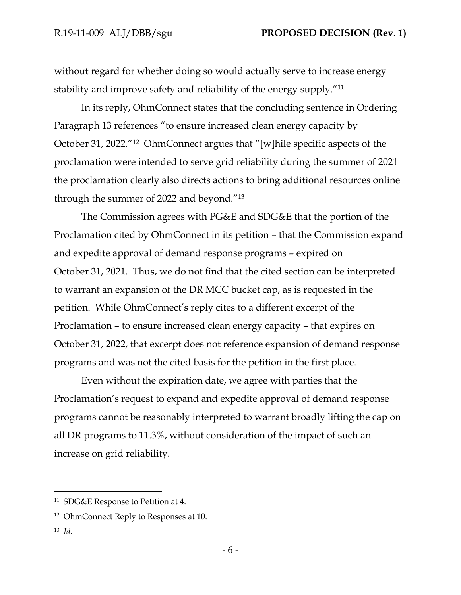without regard for whether doing so would actually serve to increase energy stability and improve safety and reliability of the energy supply."<sup>11</sup>

In its reply, OhmConnect states that the concluding sentence in Ordering Paragraph 13 references "to ensure increased clean energy capacity by October 31, 2022."<sup>12</sup> OhmConnect argues that "[w]hile specific aspects of the proclamation were intended to serve grid reliability during the summer of 2021 the proclamation clearly also directs actions to bring additional resources online through the summer of 2022 and beyond."<sup>13</sup>

The Commission agrees with PG&E and SDG&E that the portion of the Proclamation cited by OhmConnect in its petition – that the Commission expand and expedite approval of demand response programs – expired on October 31, 2021. Thus, we do not find that the cited section can be interpreted to warrant an expansion of the DR MCC bucket cap, as is requested in the petition. While OhmConnect's reply cites to a different excerpt of the Proclamation – to ensure increased clean energy capacity – that expires on October 31, 2022, that excerpt does not reference expansion of demand response programs and was not the cited basis for the petition in the first place.

Even without the expiration date, we agree with parties that the Proclamation's request to expand and expedite approval of demand response programs cannot be reasonably interpreted to warrant broadly lifting the cap on all DR programs to 11.3%, without consideration of the impact of such an increase on grid reliability.

13 *Id*.

<sup>11</sup> SDG&E Response to Petition at 4.

<sup>12</sup> OhmConnect Reply to Responses at 10.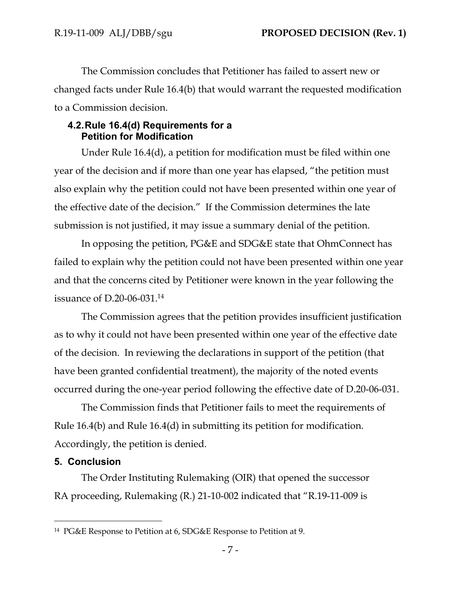The Commission concludes that Petitioner has failed to assert new or changed facts under Rule 16.4(b) that would warrant the requested modification to a Commission decision.

### **4.2.Rule 16.4(d) Requirements for a Petition for Modification**

Under Rule 16.4(d), a petition for modification must be filed within one year of the decision and if more than one year has elapsed, "the petition must also explain why the petition could not have been presented within one year of the effective date of the decision." If the Commission determines the late submission is not justified, it may issue a summary denial of the petition.

In opposing the petition, PG&E and SDG&E state that OhmConnect has failed to explain why the petition could not have been presented within one year and that the concerns cited by Petitioner were known in the year following the issuance of D.20-06-031.<sup>14</sup>

The Commission agrees that the petition provides insufficient justification as to why it could not have been presented within one year of the effective date of the decision. In reviewing the declarations in support of the petition (that have been granted confidential treatment), the majority of the noted events occurred during the one-year period following the effective date of D.20-06-031.

The Commission finds that Petitioner fails to meet the requirements of Rule 16.4(b) and Rule 16.4(d) in submitting its petition for modification. Accordingly, the petition is denied.

### **5. Conclusion**

The Order Instituting Rulemaking (OIR) that opened the successor RA proceeding, Rulemaking (R.) 21-10-002 indicated that "R.19-11-009 is

<sup>14</sup> PG&E Response to Petition at 6, SDG&E Response to Petition at 9.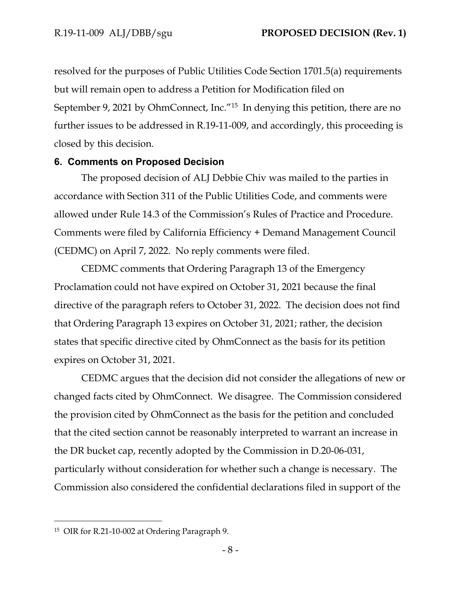resolved for the purposes of Public Utilities Code Section 1701.5(a) requirements but will remain open to address a Petition for Modification filed on September 9, 2021 by OhmConnect, Inc.<sup>"15</sup> In denying this petition, there are no further issues to be addressed in R.19-11-009, and accordingly, this proceeding is closed by this decision.

#### **6. Comments on Proposed Decision**

The proposed decision of ALJ Debbie Chiv was mailed to the parties in accordance with Section 311 of the Public Utilities Code, and comments were allowed under Rule 14.3 of the Commission's Rules of Practice and Procedure. Comments were filed by California Efficiency + Demand Management Council (CEDMC) on April 7, 2022. No reply comments were filed.

CEDMC comments that Ordering Paragraph 13 of the Emergency Proclamation could not have expired on October 31, 2021 because the final directive of the paragraph refers to October 31, 2022. The decision does not find that Ordering Paragraph 13 expires on October 31, 2021; rather, the decision states that specific directive cited by OhmConnect as the basis for its petition expires on October 31, 2021.

CEDMC argues that the decision did not consider the allegations of new or changed facts cited by OhmConnect. We disagree. The Commission considered the provision cited by OhmConnect as the basis for the petition and concluded that the cited section cannot be reasonably interpreted to warrant an increase in the DR bucket cap, recently adopted by the Commission in D.20-06-031, particularly without consideration for whether such a change is necessary. The Commission also considered the confidential declarations filed in support of the

<sup>15</sup> OIR for R.21-10-002 at Ordering Paragraph 9.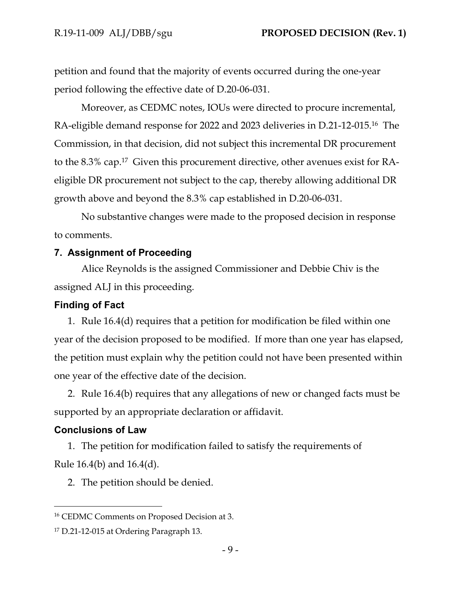petition and found that the majority of events occurred during the one-year period following the effective date of D.20-06-031.

Moreover, as CEDMC notes, IOUs were directed to procure incremental, RA-eligible demand response for 2022 and 2023 deliveries in D.21-12-015.<sup>16</sup> The Commission, in that decision, did not subject this incremental DR procurement to the 8.3% cap.<sup>17</sup> Given this procurement directive, other avenues exist for RAeligible DR procurement not subject to the cap, thereby allowing additional DR growth above and beyond the 8.3% cap established in D.20-06-031.

No substantive changes were made to the proposed decision in response to comments.

#### **7. Assignment of Proceeding**

Alice Reynolds is the assigned Commissioner and Debbie Chiv is the assigned ALJ in this proceeding.

#### **Finding of Fact**

1. Rule 16.4(d) requires that a petition for modification be filed within one year of the decision proposed to be modified. If more than one year has elapsed, the petition must explain why the petition could not have been presented within one year of the effective date of the decision.

2. Rule 16.4(b) requires that any allegations of new or changed facts must be supported by an appropriate declaration or affidavit.

#### **Conclusions of Law**

1. The petition for modification failed to satisfy the requirements of Rule 16.4(b) and 16.4(d).

2. The petition should be denied.

<sup>16</sup> CEDMC Comments on Proposed Decision at 3.

<sup>&</sup>lt;sup>17</sup> D.21-12-015 at Ordering Paragraph 13.